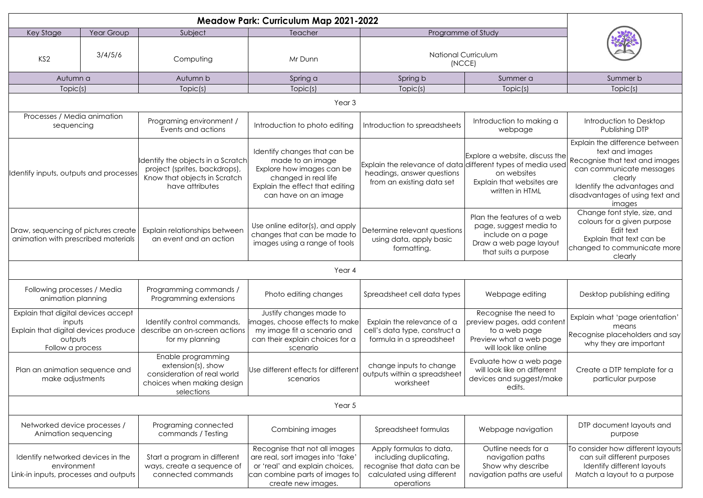| <b>Meadow Park: Curriculum Map 2021-2022</b>                                                                         |         |                                                                                                                        |                                                                                                                                                                  |                                                                                                                             |                                                                                                                             |                                                                                                                                                                                                        |  |  |
|----------------------------------------------------------------------------------------------------------------------|---------|------------------------------------------------------------------------------------------------------------------------|------------------------------------------------------------------------------------------------------------------------------------------------------------------|-----------------------------------------------------------------------------------------------------------------------------|-----------------------------------------------------------------------------------------------------------------------------|--------------------------------------------------------------------------------------------------------------------------------------------------------------------------------------------------------|--|--|
| Year Group<br>Key Stage                                                                                              |         | Subject                                                                                                                | Teacher                                                                                                                                                          | Programme of Study                                                                                                          |                                                                                                                             |                                                                                                                                                                                                        |  |  |
| KS <sub>2</sub>                                                                                                      | 3/4/5/6 | Computing                                                                                                              | Mr Dunn                                                                                                                                                          | <b>National Curriculum</b><br>(NCCE)                                                                                        |                                                                                                                             |                                                                                                                                                                                                        |  |  |
| Autumn a                                                                                                             |         | Autumn b                                                                                                               | Spring a                                                                                                                                                         | Spring b                                                                                                                    | Summer a                                                                                                                    | Summer b                                                                                                                                                                                               |  |  |
| Topic(s)                                                                                                             |         | Topic(s)                                                                                                               | Topic(s)                                                                                                                                                         | Topic(s)                                                                                                                    | Topic(s)                                                                                                                    | Topic(s)                                                                                                                                                                                               |  |  |
| Year <sub>3</sub>                                                                                                    |         |                                                                                                                        |                                                                                                                                                                  |                                                                                                                             |                                                                                                                             |                                                                                                                                                                                                        |  |  |
| Processes / Media animation<br>sequencing                                                                            |         | Programing environment /<br>Events and actions                                                                         | Introduction to photo editing                                                                                                                                    | Introduction to spreadsheets                                                                                                | Introduction to making a<br>webpage                                                                                         | Introduction to Desktop<br>Publishing DTP                                                                                                                                                              |  |  |
| Identify inputs, outputs and processes                                                                               |         | Identify the objects in a Scratch<br>project (sprites, backdrops),<br>Know that objects in Scratch<br>have attributes  | Identify changes that can be<br>made to an image<br>Explore how images can be<br>changed in real life<br>Explain the effect that editing<br>can have on an image | Explain the relevance of data different types of media used<br>headings, answer questions<br>from an existing data set      | Explore a website, discuss the<br>on websites<br>Explain that websites are<br>written in HTML                               | Explain the difference between<br>text and images<br>Recognise that text and images<br>can communicate messages<br>clearly<br>Identify the advantages and<br>disadvantages of using text and<br>images |  |  |
| Draw, sequencing of pictures create<br>animation with prescribed materials                                           |         | Explain relationships between<br>an event and an action                                                                | Use online editor(s), and apply<br>changes that can be made to<br>images using a range of tools                                                                  | Determine relevant questions<br>using data, apply basic<br>formatting.                                                      | Plan the features of a web<br>page, suggest media to<br>include on a page<br>Draw a web page layout<br>that suits a purpose | Change font style, size, and<br>colours for a given purpose<br>Edit text<br>Explain that text can be<br>changed to communicate more<br>clearly                                                         |  |  |
| Year 4                                                                                                               |         |                                                                                                                        |                                                                                                                                                                  |                                                                                                                             |                                                                                                                             |                                                                                                                                                                                                        |  |  |
| Following processes / Media<br>animation planning                                                                    |         | Programming commands /<br>Programming extensions                                                                       | Photo editing changes                                                                                                                                            | Spreadsheet cell data types                                                                                                 | Webpage editing                                                                                                             | Desktop publishing editing                                                                                                                                                                             |  |  |
| Explain that digital devices accept<br>inputs<br>Explain that digital devices produce<br>outputs<br>Follow a process |         | Identify control commands,<br>describe an on-screen actions<br>for my planning                                         | Justify changes made to<br>images, choose effects to make <br>my image fit a scenario and<br>can their explain choices for a<br>scenario                         | Explain the relevance of a<br>cell's data type, construct a<br>formula in a spreadsheet                                     | Recognise the need to<br>preview pages, add content<br>to a web page<br>Preview what a web page<br>will look like online    | Explain what 'page orientation'<br>means<br>Recognise placeholders and say<br>why they are important                                                                                                   |  |  |
| Plan an animation sequence and<br>make adjustments                                                                   |         | Enable programming<br>$extension(s)$ , show<br>consideration of real world<br>choices when making design<br>selections | Use different effects for different<br>scenarios                                                                                                                 | change inputs to change<br>outputs within a spreadsheet<br>worksheet                                                        | Evaluate how a web page<br>will look like on different<br>devices and suggest/make<br>edits.                                | Create a DTP template for a<br>particular purpose                                                                                                                                                      |  |  |
| Year 5                                                                                                               |         |                                                                                                                        |                                                                                                                                                                  |                                                                                                                             |                                                                                                                             |                                                                                                                                                                                                        |  |  |
| Networked device processes /<br>Animation sequencing                                                                 |         | Programing connected<br>commands / Testing                                                                             | Combining images                                                                                                                                                 | Spreadsheet formulas                                                                                                        | Webpage navigation                                                                                                          | DTP document layouts and<br>purpose                                                                                                                                                                    |  |  |
| Identify networked devices in the<br>environment<br>Link-in inputs, processes and outputs                            |         | Start a program in different<br>ways, create a sequence of<br>connected commands                                       | Recognise that not all images<br>are real, sort images into 'fake'<br>or 'real' and explain choices,<br>can combine parts of images to<br>create new images.     | Apply formulas to data,<br>including duplicating,<br>recognise that data can be<br>calculated using different<br>operations | Outline needs for a<br>navigation paths<br>Show why describe<br>navigation paths are useful                                 | To consider how different layouts<br>can suit different purposes<br>Identify different layouts<br>Match a layout to a purpose                                                                          |  |  |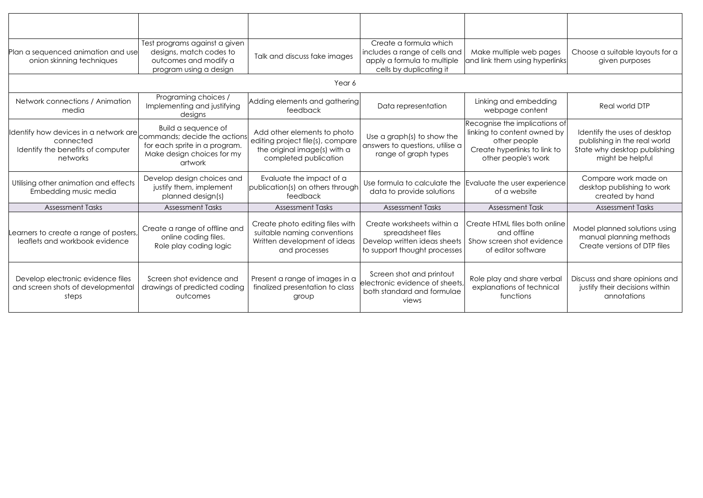| Plan a sequenced animation and use<br>onion skinning techniques                                     | Test programs against a given<br>designs, match codes to<br>outcomes and modify a<br>program using a design                   | Talk and discuss fake images                                                                                             | Create a formula which<br>includes a range of cells and<br>apply a formula to multiple<br>cells by duplicating it | Make multiple web pages<br>and link them using hyperlinks                                                                           | Choose a suitable layouts for a<br>given purposes                                                                |  |  |  |
|-----------------------------------------------------------------------------------------------------|-------------------------------------------------------------------------------------------------------------------------------|--------------------------------------------------------------------------------------------------------------------------|-------------------------------------------------------------------------------------------------------------------|-------------------------------------------------------------------------------------------------------------------------------------|------------------------------------------------------------------------------------------------------------------|--|--|--|
| Year 6                                                                                              |                                                                                                                               |                                                                                                                          |                                                                                                                   |                                                                                                                                     |                                                                                                                  |  |  |  |
| Network connections / Animation<br>media                                                            | Programing choices /<br>Implementing and justifying<br>designs                                                                | Adding elements and gathering<br>feedback                                                                                | Data representation                                                                                               | Linking and embedding<br>webpage content                                                                                            | Real world DTP                                                                                                   |  |  |  |
| Identify how devices in a network are<br>connected<br>Identify the benefits of computer<br>networks | Build a sequence of<br>commands; decide the actions<br>for each sprite in a program.<br>Make design choices for my<br>artwork | Add other elements to photo<br>editing project file(s), compare<br>the original image(s) with a<br>completed publication | Use a graph(s) to show the<br>answers to questions, utilise a<br>range of graph types                             | Recognise the implications of<br>linking to content owned by<br>other people<br>Create hyperlinks to link to<br>other people's work | Identify the uses of desktop<br>publishing in the real world<br>State why desktop publishing<br>might be helpful |  |  |  |
| Utilising other animation and effects<br>Embedding music media                                      | Develop design choices and<br>justify them, implement<br>planned design(s)                                                    | Evaluate the impact of a<br>publication(s) on others through<br>feedback                                                 | data to provide solutions                                                                                         | Use formula to calculate the Evaluate the user experience<br>of a website                                                           | Compare work made on<br>desktop publishing to work<br>created by hand                                            |  |  |  |
| <b>Assessment Tasks</b>                                                                             | <b>Assessment Tasks</b>                                                                                                       | <b>Assessment Tasks</b>                                                                                                  | <b>Assessment Tasks</b>                                                                                           | <b>Assessment Task</b>                                                                                                              | <b>Assessment Tasks</b>                                                                                          |  |  |  |
| Learners to create a range of posters,<br>leaflets and workbook evidence                            | Create a range of offline and<br>online coding files.<br>Role play coding logic                                               | Create photo editing files with<br>suitable naming conventions<br>Written development of ideas<br>and processes          | Create worksheets within a<br>spreadsheet files<br>Develop written ideas sheets<br>to support thought processes   | Create HTML files both online<br>and offline<br>Show screen shot evidence<br>of editor software                                     | Model planned solutions using<br>manual planning methods<br>Create versions of DTP files                         |  |  |  |
| Develop electronic evidence files<br>and screen shots of developmental<br>steps                     | Screen shot evidence and<br>drawings of predicted coding<br>outcomes                                                          | Present a range of images in a<br>finalized presentation to class<br>group                                               | Screen shot and printout<br>electronic evidence of sheets,<br>both standard and formulae<br>views                 | Role play and share verbal<br>explanations of technical<br>functions                                                                | Discuss and share opinions and<br>justify their decisions within<br>annotations                                  |  |  |  |